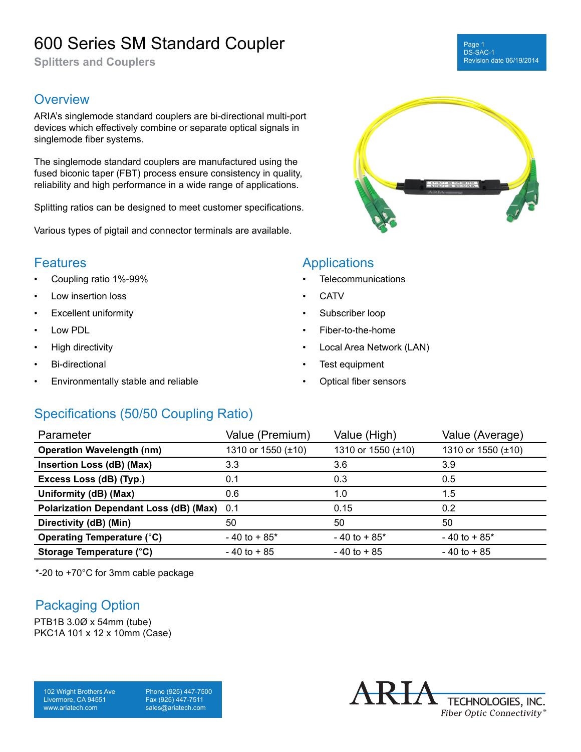# 600 Series SM Standard Coupler

**Splitters and Couplers**

### **Overview**

ARIA's singlemode standard couplers are bi-directional multi-port devices which effectively combine or separate optical signals in singlemode fiber systems.

The singlemode standard couplers are manufactured using the fused biconic taper (FBT) process ensure consistency in quality, reliability and high performance in a wide range of applications.

Splitting ratios can be designed to meet customer specifications.

Various types of pigtail and connector terminals are available.

### **Features**

- Coupling ratio 1%-99%
- Low insertion loss
- **Excellent uniformity**
- Low PDL
- High directivity
- Bi-directional
- Environmentally stable and reliable

### **Applications**

- Telecommunications
- CATV
- Subscriber loop
- Fiber-to-the-home
- Local Area Network (LAN)
- Test equipment
- Optical fiber sensors

## Specifications (50/50 Coupling Ratio)

| Parameter                                     | Value (Premium)    | Value (High)       | Value (Average)    |
|-----------------------------------------------|--------------------|--------------------|--------------------|
| <b>Operation Wavelength (nm)</b>              | 1310 or 1550 (±10) | 1310 or 1550 (±10) | 1310 or 1550 (±10) |
| Insertion Loss (dB) (Max)                     | 3.3                | 3.6                | 3.9                |
| Excess Loss (dB) (Typ.)                       | 0.1                | 0.3                | 0.5                |
| Uniformity (dB) (Max)                         | 0.6                | 1.0                | 1.5                |
| <b>Polarization Dependant Loss (dB) (Max)</b> | 0.1                | 0.15               | 0.2                |
| Directivity (dB) (Min)                        | 50                 | 50                 | 50                 |
| <b>Operating Temperature (°C)</b>             | $-40$ to $+85$ *   | $-40$ to $+85$ *   | $-40$ to $+85*$    |
| Storage Temperature (°C)                      | $-40$ to $+85$     | $-40$ to $+85$     | $-40$ to $+85$     |

\*-20 to +70°C for 3mm cable package

### Packaging Option

PTB1B 3.0Ø x 54mm (tube) PKC1A 101 x 12 x 10mm (Case)

102 Wright Brothers Ave Livermore, CA 94551 www.ariatech.com

Phone (925) 447-7500 Fax (925) 447-7511 sales@ariatech.com





#### Page 1 DS-SAC-1 Revision date 06/19/2014